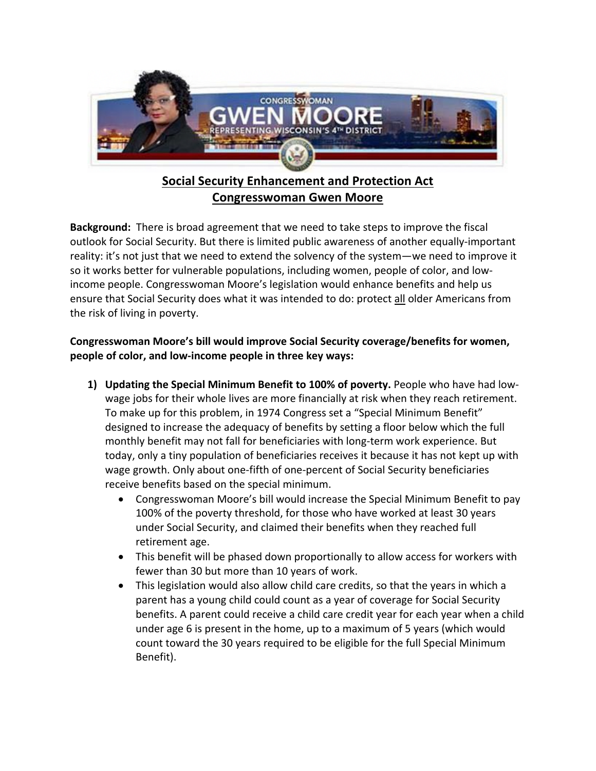

## **Social Security Enhancement and Protection Act Congresswoman Gwen Moore**

**Background:** There is broad agreement that we need to take steps to improve the fiscal outlook for Social Security. But there is limited public awareness of another equally-important reality: it's not just that we need to extend the solvency of the system—we need to improve it so it works better for vulnerable populations, including women, people of color, and lowincome people. Congresswoman Moore's legislation would enhance benefits and help us ensure that Social Security does what it was intended to do: protect all older Americans from the risk of living in poverty.

## **Congresswoman Moore's bill would improve Social Security coverage/benefits for women, people of color, and low-income people in three key ways:**

- **1) Updating the Special Minimum Benefit to 100% of poverty.** People who have had lowwage jobs for their whole lives are more financially at risk when they reach retirement. To make up for this problem, in 1974 Congress set a "Special Minimum Benefit" designed to increase the adequacy of benefits by setting a floor below which the full monthly benefit may not fall for beneficiaries with long-term work experience. But today, only a tiny population of beneficiaries receives it because it has not kept up with wage growth. Only about one-fifth of one-percent of Social Security beneficiaries receive benefits based on the special minimum.
	- Congresswoman Moore's bill would increase the Special Minimum Benefit to pay 100% of the poverty threshold, for those who have worked at least 30 years under Social Security, and claimed their benefits when they reached full retirement age.
	- This benefit will be phased down proportionally to allow access for workers with fewer than 30 but more than 10 years of work.
	- This legislation would also allow child care credits, so that the years in which a parent has a young child could count as a year of coverage for Social Security benefits. A parent could receive a child care credit year for each year when a child under age 6 is present in the home, up to a maximum of 5 years (which would count toward the 30 years required to be eligible for the full Special Minimum Benefit).